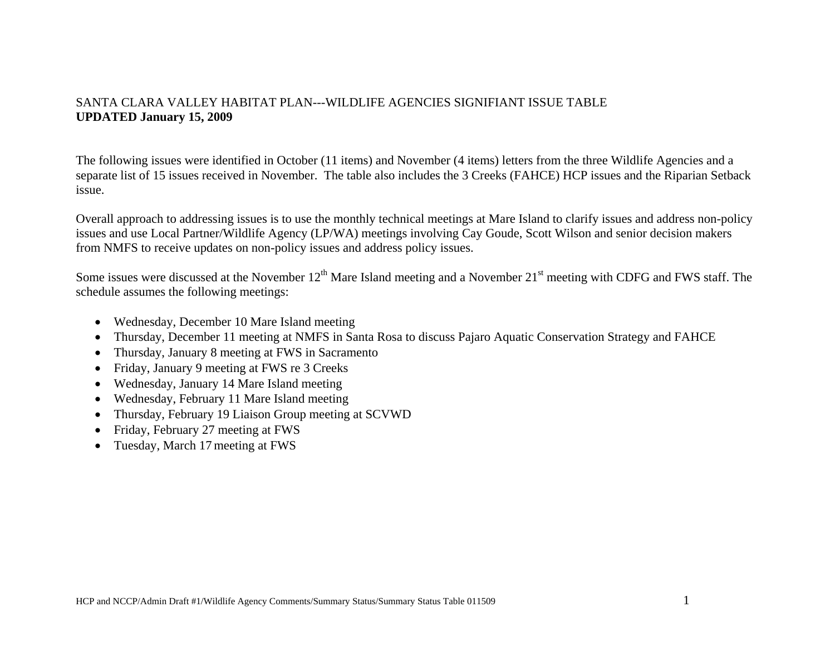## SANTA CLARA VALLEY HABITAT PLAN---WILDLIFE AGENCIES SIGNIFIANT ISSUE TABLE **UPDATED January 15, 2009**

The following issues were identified in October (11 items) and November (4 items) letters from the three Wildlife Agencies and a separate list of 15 issues received in November. The table also includes the 3 Creeks (FAHCE) HCP issues and the Riparian Setback issue.

Overall approach to addressing issues is to use the monthly technical meetings at Mare Island to clarify issues and address non-policy issues and use Local Partner/Wildlife Agency (LP/WA) meetings involving Cay Goude, Scott Wilson and senior decision makers from NMFS to receive updates on non-policy issues and address policy issues.

Some issues were discussed at the November  $12<sup>th</sup>$  Mare Island meeting and a November  $21<sup>st</sup>$  meeting with CDFG and FWS staff. The schedule assumes the following meetings:

- Wednesday, December 10 Mare Island meeting
- •Thursday, December 11 meeting at NMFS in Santa Rosa to discuss Pajaro Aquatic Conservation Strategy and FAHCE
- •Thursday, January 8 meeting at FWS in Sacramento
- Friday, January 9 meeting at FWS re 3 Creeks
- Wednesday, January 14 Mare Island meeting
- Wednesday, February 11 Mare Island meeting
- $\bullet$ Thursday, February 19 Liaison Group meeting at SCVWD
- $\bullet$ Friday, February 27 meeting at FWS
- •Tuesday, March 17 meeting at FWS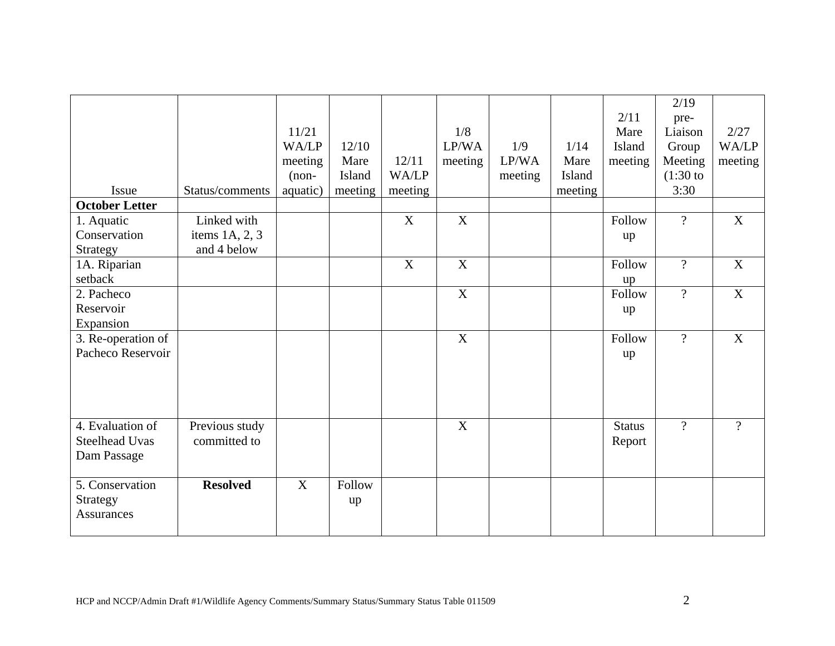|                       |                        |          |         |         |             |         |         |               | 2/19           |                           |
|-----------------------|------------------------|----------|---------|---------|-------------|---------|---------|---------------|----------------|---------------------------|
|                       |                        |          |         |         |             |         |         | 2/11          | pre-           |                           |
|                       |                        | 11/21    |         |         | 1/8         |         |         | Mare          | Liaison        | 2/27                      |
|                       |                        | WA/LP    | 12/10   |         | LP/WA       | 1/9     | 1/14    | Island        | Group          | WA/LP                     |
|                       |                        | meeting  | Mare    | 12/11   | meeting     | LP/WA   | Mare    | meeting       | Meeting        | meeting                   |
|                       |                        | $(non-$  | Island  | WA/LP   |             | meeting | Island  |               | $(1:30)$ to    |                           |
| Issue                 | Status/comments        | aquatic) | meeting | meeting |             |         | meeting |               | 3:30           |                           |
| <b>October Letter</b> |                        |          |         |         |             |         |         |               |                |                           |
| 1. Aquatic            | Linked with            |          |         | X       | X           |         |         | Follow        | $\overline{?}$ | X                         |
| Conservation          | items $1A$ , $2$ , $3$ |          |         |         |             |         |         | up            |                |                           |
| Strategy              | and 4 below            |          |         |         |             |         |         |               |                |                           |
| 1A. Riparian          |                        |          |         | X       | X           |         |         | Follow        | $\overline{?}$ | $\mathbf X$               |
| setback               |                        |          |         |         |             |         |         | up            |                |                           |
| 2. Pacheco            |                        |          |         |         | $\mathbf X$ |         |         | Follow        | $\overline{?}$ | $\boldsymbol{\mathrm{X}}$ |
| Reservoir             |                        |          |         |         |             |         |         | up            |                |                           |
| Expansion             |                        |          |         |         |             |         |         |               |                |                           |
| 3. Re-operation of    |                        |          |         |         | X           |         |         | Follow        | $\overline{?}$ | X                         |
| Pacheco Reservoir     |                        |          |         |         |             |         |         | up            |                |                           |
|                       |                        |          |         |         |             |         |         |               |                |                           |
|                       |                        |          |         |         |             |         |         |               |                |                           |
|                       |                        |          |         |         |             |         |         |               |                |                           |
|                       |                        |          |         |         |             |         |         |               |                |                           |
| 4. Evaluation of      | Previous study         |          |         |         | X           |         |         | <b>Status</b> | $\overline{?}$ | $\gamma$                  |
| <b>Steelhead Uvas</b> | committed to           |          |         |         |             |         |         | Report        |                |                           |
| Dam Passage           |                        |          |         |         |             |         |         |               |                |                           |
|                       |                        |          |         |         |             |         |         |               |                |                           |
| 5. Conservation       | <b>Resolved</b>        | X        | Follow  |         |             |         |         |               |                |                           |
| Strategy              |                        |          | up      |         |             |         |         |               |                |                           |
| <b>Assurances</b>     |                        |          |         |         |             |         |         |               |                |                           |
|                       |                        |          |         |         |             |         |         |               |                |                           |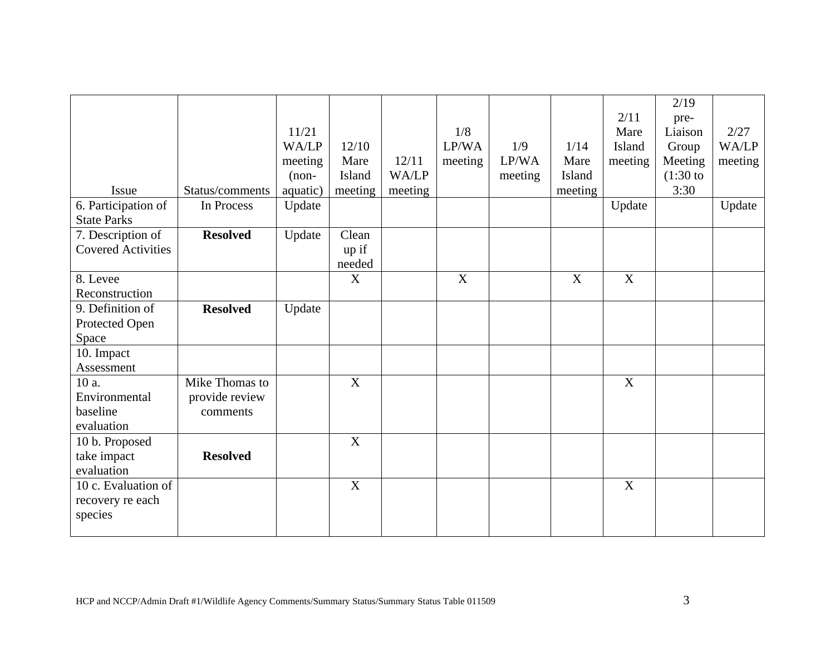|                           |                 |          |         |         |         |         |         |                           | 2/19        |         |
|---------------------------|-----------------|----------|---------|---------|---------|---------|---------|---------------------------|-------------|---------|
|                           |                 |          |         |         |         |         |         | 2/11                      | pre-        |         |
|                           |                 | 11/21    |         |         | 1/8     |         |         | Mare                      | Liaison     | 2/27    |
|                           |                 | WA/LP    | 12/10   |         | LP/WA   | 1/9     | 1/14    | Island                    | Group       | WA/LP   |
|                           |                 | meeting  | Mare    | 12/11   | meeting | LP/WA   | Mare    | meeting                   | Meeting     | meeting |
|                           |                 | $(non-$  | Island  | WA/LP   |         | meeting | Island  |                           | $(1:30)$ to |         |
| Issue                     | Status/comments | aquatic) | meeting | meeting |         |         | meeting |                           | 3:30        |         |
| 6. Participation of       | In Process      | Update   |         |         |         |         |         | Update                    |             | Update  |
| <b>State Parks</b>        |                 |          |         |         |         |         |         |                           |             |         |
| 7. Description of         | <b>Resolved</b> | Update   | Clean   |         |         |         |         |                           |             |         |
| <b>Covered Activities</b> |                 |          | up if   |         |         |         |         |                           |             |         |
|                           |                 |          | needed  |         |         |         |         |                           |             |         |
| 8. Levee                  |                 |          | X       |         | X       |         | X       | X                         |             |         |
| Reconstruction            |                 |          |         |         |         |         |         |                           |             |         |
| 9. Definition of          | <b>Resolved</b> | Update   |         |         |         |         |         |                           |             |         |
| Protected Open            |                 |          |         |         |         |         |         |                           |             |         |
| Space                     |                 |          |         |         |         |         |         |                           |             |         |
| 10. Impact                |                 |          |         |         |         |         |         |                           |             |         |
| Assessment                |                 |          |         |         |         |         |         |                           |             |         |
| 10 a.                     | Mike Thomas to  |          | X       |         |         |         |         | $\boldsymbol{\mathrm{X}}$ |             |         |
| Environmental             | provide review  |          |         |         |         |         |         |                           |             |         |
| baseline                  | comments        |          |         |         |         |         |         |                           |             |         |
| evaluation                |                 |          |         |         |         |         |         |                           |             |         |
| 10 b. Proposed            |                 |          | X       |         |         |         |         |                           |             |         |
| take impact               | <b>Resolved</b> |          |         |         |         |         |         |                           |             |         |
| evaluation                |                 |          |         |         |         |         |         |                           |             |         |
| 10 c. Evaluation of       |                 |          | X       |         |         |         |         | X                         |             |         |
| recovery re each          |                 |          |         |         |         |         |         |                           |             |         |
| species                   |                 |          |         |         |         |         |         |                           |             |         |
|                           |                 |          |         |         |         |         |         |                           |             |         |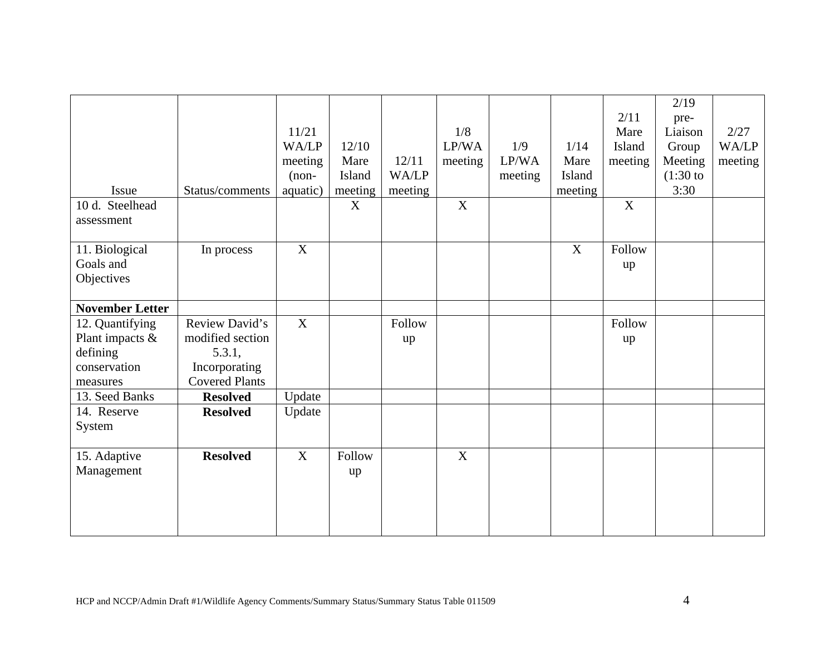|                        |                       |          |         |         |             |         |         |             | 2/19        |         |
|------------------------|-----------------------|----------|---------|---------|-------------|---------|---------|-------------|-------------|---------|
|                        |                       |          |         |         |             |         |         | 2/11        | pre-        |         |
|                        |                       | 11/21    |         |         | 1/8         |         |         | Mare        | Liaison     | 2/27    |
|                        |                       | WA/LP    | 12/10   |         | LP/WA       | 1/9     | 1/14    | Island      | Group       | WA/LP   |
|                        |                       | meeting  | Mare    | 12/11   | meeting     | LP/WA   | Mare    | meeting     | Meeting     | meeting |
|                        |                       | $(non-$  | Island  | WA/LP   |             | meeting | Island  |             | $(1:30)$ to |         |
| Issue                  | Status/comments       | aquatic) | meeting | meeting |             |         | meeting |             | 3:30        |         |
| 10 d. Steelhead        |                       |          | X       |         | $\mathbf X$ |         |         | $\mathbf X$ |             |         |
| assessment             |                       |          |         |         |             |         |         |             |             |         |
|                        |                       |          |         |         |             |         |         |             |             |         |
| 11. Biological         | In process            | X        |         |         |             |         | X       | Follow      |             |         |
| Goals and              |                       |          |         |         |             |         |         | up          |             |         |
| Objectives             |                       |          |         |         |             |         |         |             |             |         |
|                        |                       |          |         |         |             |         |         |             |             |         |
| <b>November Letter</b> |                       |          |         |         |             |         |         |             |             |         |
| 12. Quantifying        | Review David's        | X        |         | Follow  |             |         |         | Follow      |             |         |
| Plant impacts &        | modified section      |          |         | up      |             |         |         | up          |             |         |
| defining               | 5.3.1,                |          |         |         |             |         |         |             |             |         |
| conservation           | Incorporating         |          |         |         |             |         |         |             |             |         |
| measures               | <b>Covered Plants</b> |          |         |         |             |         |         |             |             |         |
| 13. Seed Banks         | <b>Resolved</b>       | Update   |         |         |             |         |         |             |             |         |
| 14. Reserve            | <b>Resolved</b>       | Update   |         |         |             |         |         |             |             |         |
| System                 |                       |          |         |         |             |         |         |             |             |         |
|                        |                       |          |         |         |             |         |         |             |             |         |
| 15. Adaptive           | <b>Resolved</b>       | X        | Follow  |         | X           |         |         |             |             |         |
| Management             |                       |          | up      |         |             |         |         |             |             |         |
|                        |                       |          |         |         |             |         |         |             |             |         |
|                        |                       |          |         |         |             |         |         |             |             |         |
|                        |                       |          |         |         |             |         |         |             |             |         |
|                        |                       |          |         |         |             |         |         |             |             |         |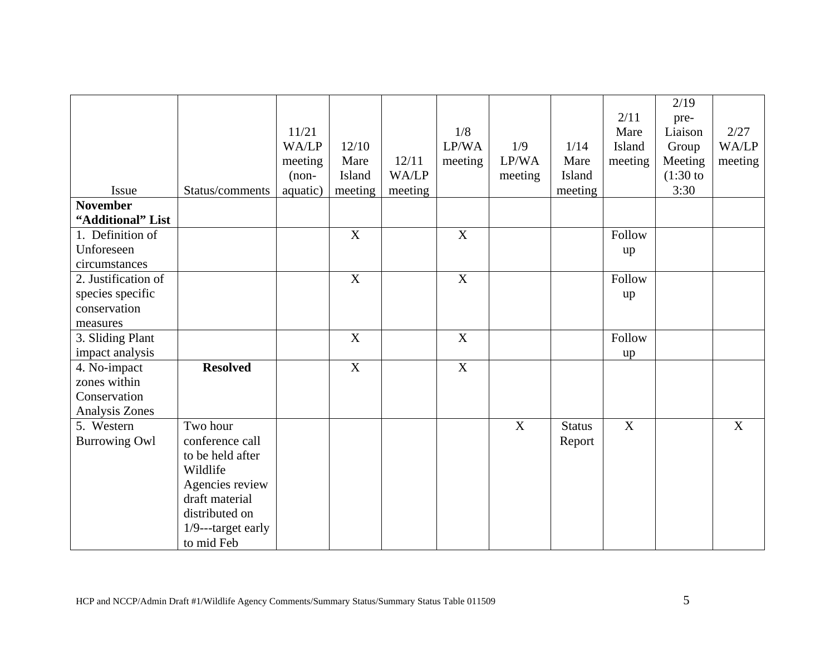|                      |                    |          |                  |              |             |         |               |         | 2/19        |         |
|----------------------|--------------------|----------|------------------|--------------|-------------|---------|---------------|---------|-------------|---------|
|                      |                    |          |                  |              |             |         |               | 2/11    | pre-        |         |
|                      |                    | 11/21    |                  |              | 1/8         |         |               | Mare    | Liaison     | 2/27    |
|                      |                    | WA/LP    | 12/10            |              | LP/WA       | 1/9     | 1/14          | Island  | Group       | WA/LP   |
|                      |                    | meeting  | Mare             | 12/11        | meeting     | LP/WA   | Mare          | meeting | Meeting     | meeting |
|                      |                    | $(non-$  | Island           | <b>WA/LP</b> |             | meeting | Island        |         | $(1:30)$ to |         |
| Issue                | Status/comments    | aquatic) | meeting          | meeting      |             |         | meeting       |         | 3:30        |         |
| <b>November</b>      |                    |          |                  |              |             |         |               |         |             |         |
| "Additional" List    |                    |          |                  |              |             |         |               |         |             |         |
| 1. Definition of     |                    |          | $\mathbf X$      |              | $\mathbf X$ |         |               | Follow  |             |         |
| Unforeseen           |                    |          |                  |              |             |         |               | up      |             |         |
| circumstances        |                    |          |                  |              |             |         |               |         |             |         |
| 2. Justification of  |                    |          | $\boldsymbol{X}$ |              | X           |         |               | Follow  |             |         |
| species specific     |                    |          |                  |              |             |         |               | up      |             |         |
| conservation         |                    |          |                  |              |             |         |               |         |             |         |
| measures             |                    |          |                  |              |             |         |               |         |             |         |
| 3. Sliding Plant     |                    |          | X                |              | X           |         |               | Follow  |             |         |
| impact analysis      |                    |          |                  |              |             |         |               | up      |             |         |
| 4. No-impact         | <b>Resolved</b>    |          | $\overline{X}$   |              | $\mathbf X$ |         |               |         |             |         |
| zones within         |                    |          |                  |              |             |         |               |         |             |         |
| Conservation         |                    |          |                  |              |             |         |               |         |             |         |
| Analysis Zones       |                    |          |                  |              |             |         |               |         |             |         |
| 5. Western           | Two hour           |          |                  |              |             | X       | <b>Status</b> | X       |             | X       |
| <b>Burrowing Owl</b> | conference call    |          |                  |              |             |         | Report        |         |             |         |
|                      | to be held after   |          |                  |              |             |         |               |         |             |         |
|                      | Wildlife           |          |                  |              |             |         |               |         |             |         |
|                      | Agencies review    |          |                  |              |             |         |               |         |             |         |
|                      | draft material     |          |                  |              |             |         |               |         |             |         |
|                      | distributed on     |          |                  |              |             |         |               |         |             |         |
|                      | 1/9---target early |          |                  |              |             |         |               |         |             |         |
|                      | to mid Feb         |          |                  |              |             |         |               |         |             |         |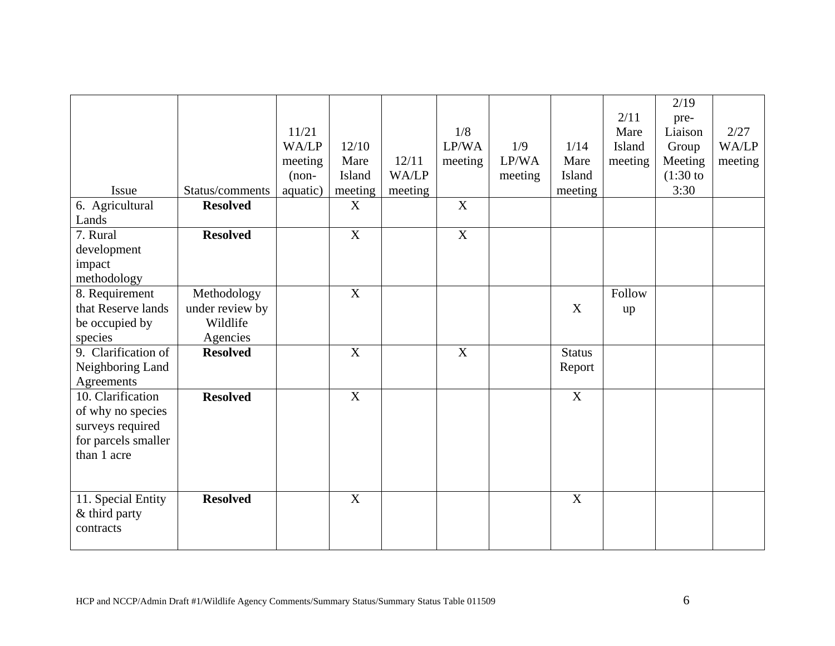|                     |                 |          |                           |         |                           |         |               |         | 2/19        |         |
|---------------------|-----------------|----------|---------------------------|---------|---------------------------|---------|---------------|---------|-------------|---------|
|                     |                 |          |                           |         |                           |         |               | 2/11    | pre-        |         |
|                     |                 | 11/21    |                           |         | 1/8                       |         |               | Mare    | Liaison     | 2/27    |
|                     |                 | WA/LP    | 12/10                     |         | LP/WA                     | 1/9     | 1/14          | Island  | Group       | WA/LP   |
|                     |                 | meeting  | Mare                      | 12/11   | meeting                   | LP/WA   | Mare          | meeting | Meeting     | meeting |
|                     |                 | $(non-$  | Island                    | WA/LP   |                           | meeting | Island        |         | $(1:30)$ to |         |
| Issue               | Status/comments | aquatic) | meeting                   | meeting |                           |         | meeting       |         | 3:30        |         |
| 6. Agricultural     | <b>Resolved</b> |          | X                         |         | X                         |         |               |         |             |         |
| Lands               |                 |          |                           |         |                           |         |               |         |             |         |
| 7. Rural            | <b>Resolved</b> |          | $\boldsymbol{\mathrm{X}}$ |         | $\boldsymbol{\mathrm{X}}$ |         |               |         |             |         |
| development         |                 |          |                           |         |                           |         |               |         |             |         |
| impact              |                 |          |                           |         |                           |         |               |         |             |         |
| methodology         |                 |          |                           |         |                           |         |               |         |             |         |
| 8. Requirement      | Methodology     |          | X                         |         |                           |         |               | Follow  |             |         |
| that Reserve lands  | under review by |          |                           |         |                           |         | X             | up      |             |         |
| be occupied by      | Wildlife        |          |                           |         |                           |         |               |         |             |         |
| species             | Agencies        |          |                           |         |                           |         |               |         |             |         |
| 9. Clarification of | <b>Resolved</b> |          | X                         |         | X                         |         | <b>Status</b> |         |             |         |
| Neighboring Land    |                 |          |                           |         |                           |         | Report        |         |             |         |
| Agreements          |                 |          |                           |         |                           |         |               |         |             |         |
| 10. Clarification   | <b>Resolved</b> |          | $\boldsymbol{\mathrm{X}}$ |         |                           |         | $\mathbf X$   |         |             |         |
| of why no species   |                 |          |                           |         |                           |         |               |         |             |         |
| surveys required    |                 |          |                           |         |                           |         |               |         |             |         |
| for parcels smaller |                 |          |                           |         |                           |         |               |         |             |         |
| than 1 acre         |                 |          |                           |         |                           |         |               |         |             |         |
|                     |                 |          |                           |         |                           |         |               |         |             |         |
|                     |                 |          |                           |         |                           |         |               |         |             |         |
| 11. Special Entity  | <b>Resolved</b> |          | X                         |         |                           |         | X             |         |             |         |
| & third party       |                 |          |                           |         |                           |         |               |         |             |         |
| contracts           |                 |          |                           |         |                           |         |               |         |             |         |
|                     |                 |          |                           |         |                           |         |               |         |             |         |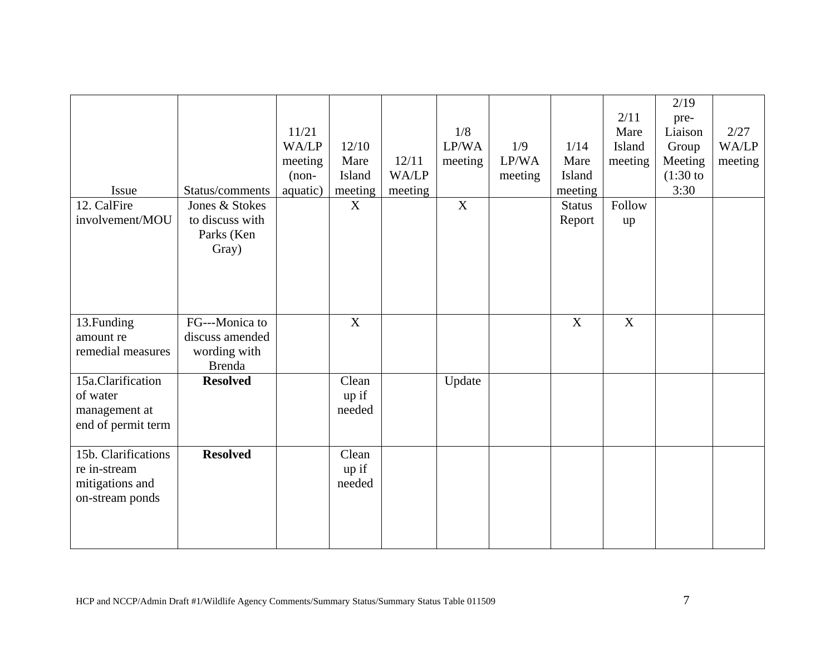| Issue                                                                     | Status/comments                                                    | 11/21<br>WA/LP<br>meeting<br>$(non-$<br>aquatic) | 12/10<br>Mare<br>Island<br>meeting | 12/11<br>WA/LP<br>meeting | 1/8<br>LP/WA<br>meeting<br>X | 1/9<br>LP/WA<br>meeting | 1/14<br>Mare<br>Island<br>meeting | 2/11<br>Mare<br>Island<br>meeting<br>Follow | 2/19<br>pre-<br>Liaison<br>Group<br>Meeting<br>$(1:30)$ to<br>3:30 | 2/27<br>WA/LP<br>meeting |
|---------------------------------------------------------------------------|--------------------------------------------------------------------|--------------------------------------------------|------------------------------------|---------------------------|------------------------------|-------------------------|-----------------------------------|---------------------------------------------|--------------------------------------------------------------------|--------------------------|
| 12. CalFire<br>involvement/MOU                                            | Jones & Stokes<br>to discuss with<br>Parks (Ken<br>Gray)           |                                                  | X                                  |                           |                              |                         | <b>Status</b><br>Report           | up                                          |                                                                    |                          |
| 13. Funding<br>amount re<br>remedial measures                             | FG---Monica to<br>discuss amended<br>wording with<br><b>Brenda</b> |                                                  | X                                  |                           |                              |                         | X                                 | X                                           |                                                                    |                          |
| 15a.Clarification<br>of water<br>management at<br>end of permit term      | <b>Resolved</b>                                                    |                                                  | Clean<br>up if<br>needed           |                           | Update                       |                         |                                   |                                             |                                                                    |                          |
| 15b. Clarifications<br>re in-stream<br>mitigations and<br>on-stream ponds | <b>Resolved</b>                                                    |                                                  | Clean<br>up if<br>needed           |                           |                              |                         |                                   |                                             |                                                                    |                          |